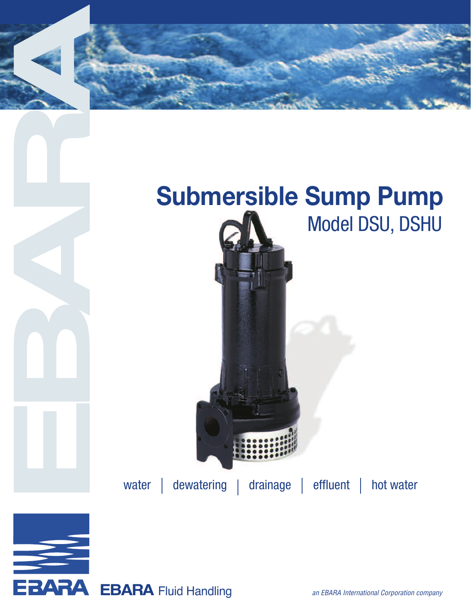



EBARA Fluid Handling an EBARA International Corporation company